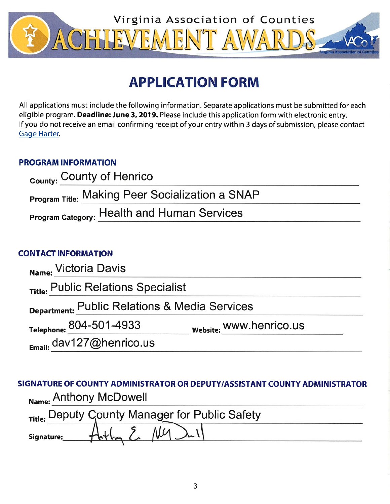

# **APPLICATION FORM**

All applications must include the following information. Separate applications must be submitted for each eligible program. Deadline: June 3, 2019. Please include this application form with electronic entry. If you do not receive an email confirming receipt of your entry within 3 days of submission, please contact **Gage Harter.** 

## **PROGRAM INFORMATION**

| <sub>County:</sub> County of Henrico                   |  |
|--------------------------------------------------------|--|
| <b>Program Title: Making Peer Socialization a SNAP</b> |  |
| <b>Program Category: Health and Human Services</b>     |  |

## **CONTACT INFORMATION**

| Name: Victoria Davis                          |                         |  |
|-----------------------------------------------|-------------------------|--|
| Title: Public Relations Specialist            |                         |  |
| Department: Public Relations & Media Services |                         |  |
| Telephone: 804-501-4933                       | website: WWW.henrico.us |  |
| $E_{\text{mail:}}$ dav127@henrico.us          |                         |  |

# SIGNATURE OF COUNTY ADMINISTRATOR OR DEPUTY/ASSISTANT COUNTY ADMINISTRATOR Name: Anthony McDowell

|            | Title: Deputy County Manager for Public Safety |  |
|------------|------------------------------------------------|--|
| Signature: | $7 \mu$                                        |  |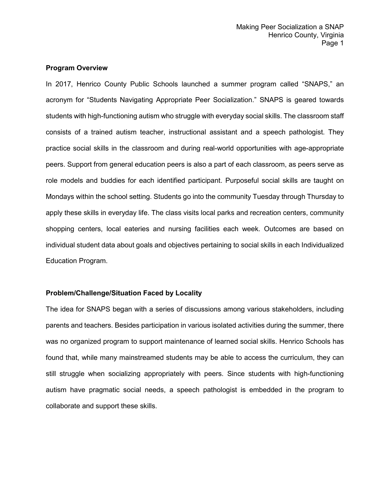#### **Program Overview**

In 2017, Henrico County Public Schools launched a summer program called "SNAPS," an acronym for "Students Navigating Appropriate Peer Socialization." SNAPS is geared towards students with high-functioning autism who struggle with everyday social skills. The classroom staff consists of a trained autism teacher, instructional assistant and a speech pathologist. They practice social skills in the classroom and during real-world opportunities with age-appropriate peers. Support from general education peers is also a part of each classroom, as peers serve as role models and buddies for each identified participant. Purposeful social skills are taught on Mondays within the school setting. Students go into the community Tuesday through Thursday to apply these skills in everyday life. The class visits local parks and recreation centers, community shopping centers, local eateries and nursing facilities each week. Outcomes are based on individual student data about goals and objectives pertaining to social skills in each Individualized Education Program.

#### **Problem/Challenge/Situation Faced by Locality**

The idea for SNAPS began with a series of discussions among various stakeholders, including parents and teachers. Besides participation in various isolated activities during the summer, there was no organized program to support maintenance of learned social skills. Henrico Schools has found that, while many mainstreamed students may be able to access the curriculum, they can still struggle when socializing appropriately with peers. Since students with high-functioning autism have pragmatic social needs, a speech pathologist is embedded in the program to collaborate and support these skills.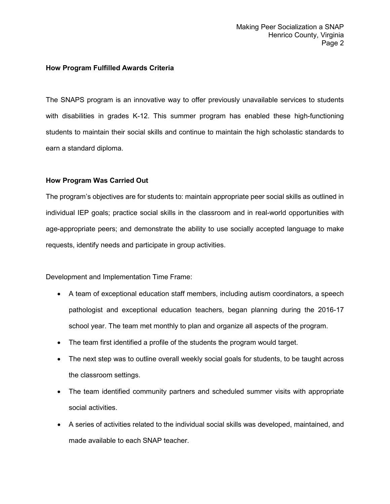#### **How Program Fulfilled Awards Criteria**

The SNAPS program is an innovative way to offer previously unavailable services to students with disabilities in grades K-12. This summer program has enabled these high-functioning students to maintain their social skills and continue to maintain the high scholastic standards to earn a standard diploma.

#### **How Program Was Carried Out**

The program's objectives are for students to: maintain appropriate peer social skills as outlined in individual IEP goals; practice social skills in the classroom and in real-world opportunities with age-appropriate peers; and demonstrate the ability to use socially accepted language to make requests, identify needs and participate in group activities.

Development and Implementation Time Frame:

- A team of exceptional education staff members, including autism coordinators, a speech pathologist and exceptional education teachers, began planning during the 2016-17 school year. The team met monthly to plan and organize all aspects of the program.
- The team first identified a profile of the students the program would target.
- The next step was to outline overall weekly social goals for students, to be taught across the classroom settings.
- The team identified community partners and scheduled summer visits with appropriate social activities.
- A series of activities related to the individual social skills was developed, maintained, and made available to each SNAP teacher.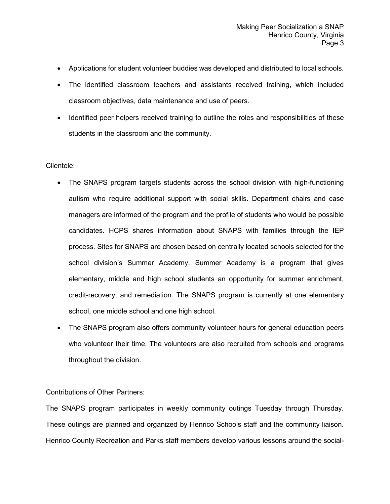- Applications for student volunteer buddies was developed and distributed to local schools.
- The identified classroom teachers and assistants received training, which included classroom objectives, data maintenance and use of peers.
- Identified peer helpers received training to outline the roles and responsibilities of these students in the classroom and the community.

#### Clientele:

- The SNAPS program targets students across the school division with high-functioning autism who require additional support with social skills. Department chairs and case managers are informed of the program and the profile of students who would be possible candidates. HCPS shares information about SNAPS with families through the IEP process. Sites for SNAPS are chosen based on centrally located schools selected for the school division's Summer Academy. Summer Academy is a program that gives elementary, middle and high school students an opportunity for summer enrichment, credit-recovery, and remediation. The SNAPS program is currently at one elementary school, one middle school and one high school.
- The SNAPS program also offers community volunteer hours for general education peers who volunteer their time. The volunteers are also recruited from schools and programs throughout the division.

#### Contributions of Other Partners:

The SNAPS program participates in weekly community outings Tuesday through Thursday. These outings are planned and organized by Henrico Schools staff and the community liaison. Henrico County Recreation and Parks staff members develop various lessons around the social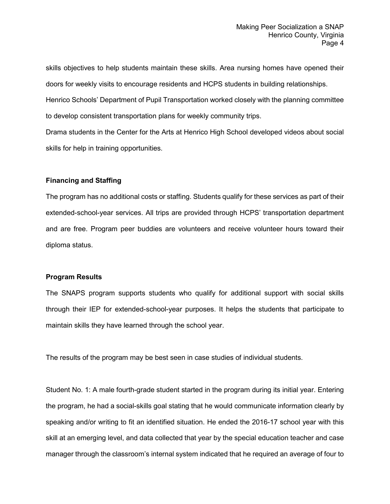skills objectives to help students maintain these skills. Area nursing homes have opened their doors for weekly visits to encourage residents and HCPS students in building relationships.

Henrico Schools' Department of Pupil Transportation worked closely with the planning committee to develop consistent transportation plans for weekly community trips.

Drama students in the Center for the Arts at Henrico High School developed videos about social skills for help in training opportunities.

#### **Financing and Staffing**

The program has no additional costs or staffing. Students qualify for these services as part of their extended-school-year services. All trips are provided through HCPS' transportation department and are free. Program peer buddies are volunteers and receive volunteer hours toward their diploma status.

#### **Program Results**

The SNAPS program supports students who qualify for additional support with social skills through their IEP for extended-school-year purposes. It helps the students that participate to maintain skills they have learned through the school year.

The results of the program may be best seen in case studies of individual students.

Student No. 1: A male fourth-grade student started in the program during its initial year. Entering the program, he had a social-skills goal stating that he would communicate information clearly by speaking and/or writing to fit an identified situation. He ended the 2016-17 school year with this skill at an emerging level, and data collected that year by the special education teacher and case manager through the classroom's internal system indicated that he required an average of four to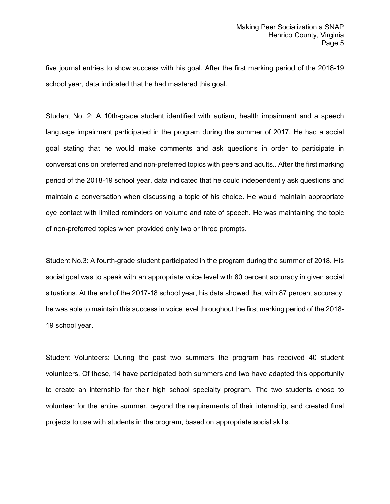five journal entries to show success with his goal. After the first marking period of the 2018-19 school year, data indicated that he had mastered this goal.

Student No. 2: A 10th-grade student identified with autism, health impairment and a speech language impairment participated in the program during the summer of 2017. He had a social goal stating that he would make comments and ask questions in order to participate in conversations on preferred and non-preferred topics with peers and adults.. After the first marking period of the 2018-19 school year, data indicated that he could independently ask questions and maintain a conversation when discussing a topic of his choice. He would maintain appropriate eye contact with limited reminders on volume and rate of speech. He was maintaining the topic of non-preferred topics when provided only two or three prompts.

Student No.3: A fourth-grade student participated in the program during the summer of 2018. His social goal was to speak with an appropriate voice level with 80 percent accuracy in given social situations. At the end of the 2017-18 school year, his data showed that with 87 percent accuracy, he was able to maintain this success in voice level throughout the first marking period of the 2018- 19 school year.

Student Volunteers: During the past two summers the program has received 40 student volunteers. Of these, 14 have participated both summers and two have adapted this opportunity to create an internship for their high school specialty program. The two students chose to volunteer for the entire summer, beyond the requirements of their internship, and created final projects to use with students in the program, based on appropriate social skills.